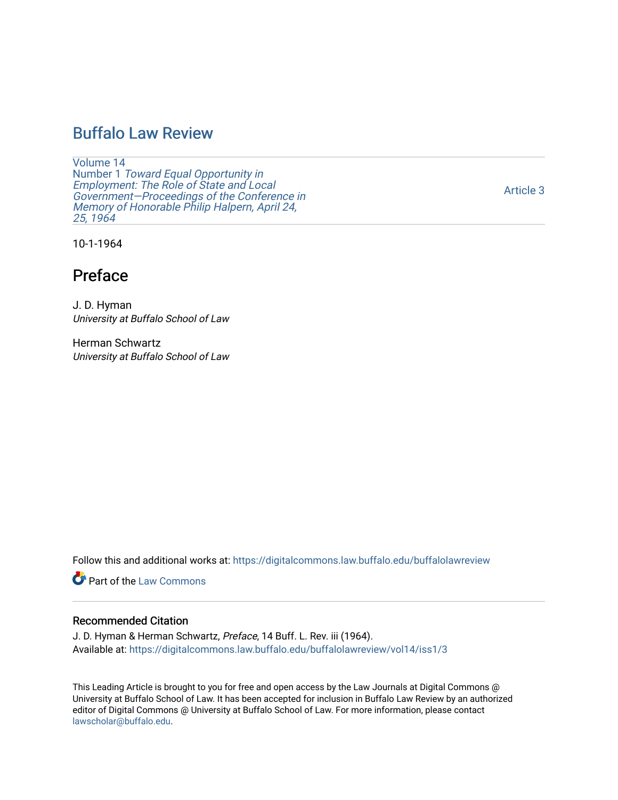## [Buffalo Law Review](https://digitalcommons.law.buffalo.edu/buffalolawreview)

[Volume 14](https://digitalcommons.law.buffalo.edu/buffalolawreview/vol14) Number 1 [Toward Equal Opportunity in](https://digitalcommons.law.buffalo.edu/buffalolawreview/vol14/iss1)  [Employment: The Role of State and Local](https://digitalcommons.law.buffalo.edu/buffalolawreview/vol14/iss1)  [Government—Proceedings of the Conference in](https://digitalcommons.law.buffalo.edu/buffalolawreview/vol14/iss1)  [Memory of Honorable Philip Halpern, April 24,](https://digitalcommons.law.buffalo.edu/buffalolawreview/vol14/iss1)  [25, 1964](https://digitalcommons.law.buffalo.edu/buffalolawreview/vol14/iss1) 

[Article 3](https://digitalcommons.law.buffalo.edu/buffalolawreview/vol14/iss1/3) 

10-1-1964

# Preface

J. D. Hyman University at Buffalo School of Law

Herman Schwartz University at Buffalo School of Law

Follow this and additional works at: [https://digitalcommons.law.buffalo.edu/buffalolawreview](https://digitalcommons.law.buffalo.edu/buffalolawreview?utm_source=digitalcommons.law.buffalo.edu%2Fbuffalolawreview%2Fvol14%2Fiss1%2F3&utm_medium=PDF&utm_campaign=PDFCoverPages) 

**Part of the [Law Commons](http://network.bepress.com/hgg/discipline/578?utm_source=digitalcommons.law.buffalo.edu%2Fbuffalolawreview%2Fvol14%2Fiss1%2F3&utm_medium=PDF&utm_campaign=PDFCoverPages)** 

## Recommended Citation

J. D. Hyman & Herman Schwartz, Preface, 14 Buff. L. Rev. iii (1964). Available at: [https://digitalcommons.law.buffalo.edu/buffalolawreview/vol14/iss1/3](https://digitalcommons.law.buffalo.edu/buffalolawreview/vol14/iss1/3?utm_source=digitalcommons.law.buffalo.edu%2Fbuffalolawreview%2Fvol14%2Fiss1%2F3&utm_medium=PDF&utm_campaign=PDFCoverPages) 

This Leading Article is brought to you for free and open access by the Law Journals at Digital Commons @ University at Buffalo School of Law. It has been accepted for inclusion in Buffalo Law Review by an authorized editor of Digital Commons @ University at Buffalo School of Law. For more information, please contact [lawscholar@buffalo.edu](mailto:lawscholar@buffalo.edu).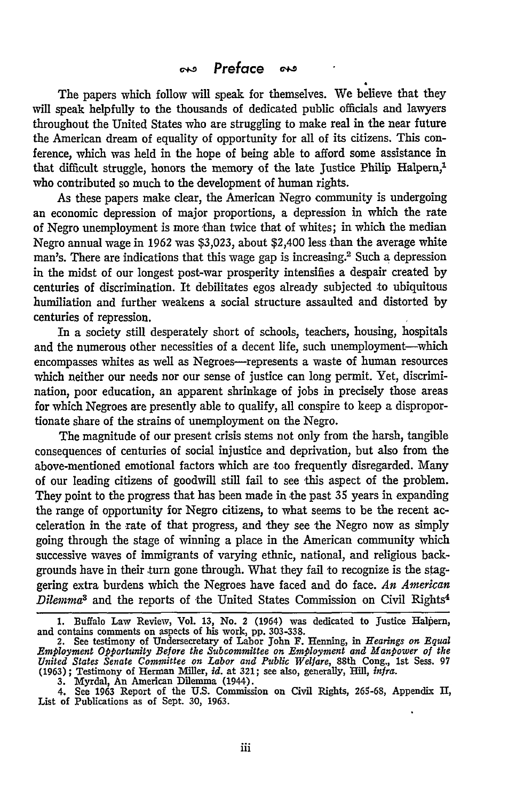### $\sim$  Preface <u>య</u>

The papers which follow will speak for themselves. We believe that they will speak helpfully to the thousands of dedicated public officials and lawyers throughout the United States who are struggling to make real in the near future the American dream of equality of opportunity for all of its citizens. This conference, which was held in the hope of being able to afford some assistance in that difficult struggle, honors the memory of the late Justice Philip Halpern,' who contributed so much to the development of human rights.

As these papers make clear, the American Negro community is undergoing an economic depression of major proportions, a depression in which the rate of Negro unemployment is more than twice that of whites; in which the median Negro annual wage in 1962 was \$3,023, about \$2,400 less than the average white man's. There are indications that this wage gap is increasing.<sup>2</sup> Such a depression in the midst of our longest post-war prosperity intensifies a despair created by centuries of discrimination. It debilitates egos already subjected to ubiquitous humiliation and further weakens a social structure assaulted and distorted by centuries of repression.

In a society still desperately short of schools, teachers, housing, hospitals and the numerous other necessities of a decent life, such unemployment-which encompasses whites as well as Negroes-represents a waste of human resources which neither our needs nor our sense of justice can long permit. Yet, discrimination, poor education, an apparent shrinkage of jobs in precisely those areas for which Negroes are presently able to qualify, all conspire to keep a disproportionate share of the strains of unemployment on the Negro.

The magnitude of our present crisis stems not only from the harsh, tangible consequences of centuries of social injustice and deprivation, but also from the above-mentioned emotional factors which are too frequently disregarded. Many of our leading citizens of goodwill still fail to see this aspect of the problem. They point to the progress that has been made in the past *35* years in expanding the range of opportunity for Negro citizens, to what seems to be the recent acceleration in the rate of that progress, and they see the Negro now as simply going through the stage of winning a place in the American community which successive waves of immigrants of varying ethnic, national, and religious backgrounds have in their turn gone through. What they fail to recognize is the staggering extra burdens which the Negroes have faced and do face. *An American Dilemma*<sup>8</sup> and the reports of the United States Commission on Civil Rights<sup>4</sup>

<sup>1.</sup> Buffalo Law Review, Vol. 13, No. 2 (1964) was dedicated to Justice Halpern and contains comments on aspects of his work, pp. 303-338.<br>2. See testimony of Undersecretary of Labor John F. Henning, in *Hearings on Equal* 

*Employment Opportunity Before the Subcommittee on Employment and Manpower of the* United States Senate Committee on Labor and Public Welfare, 88th Cong., 1st Sess. 97 (1963); Testimony of Herman Miller, *id.* at 321; see also, generally, Hill, *infra.* 3. Myrdal, An American Dilemma (1944).

<sup>4.</sup> See **1963** Report of the **U.S.** Commission on Civil Rights, **269-68,** Appendix II, List of Publications as of Sept. **30, 1963.**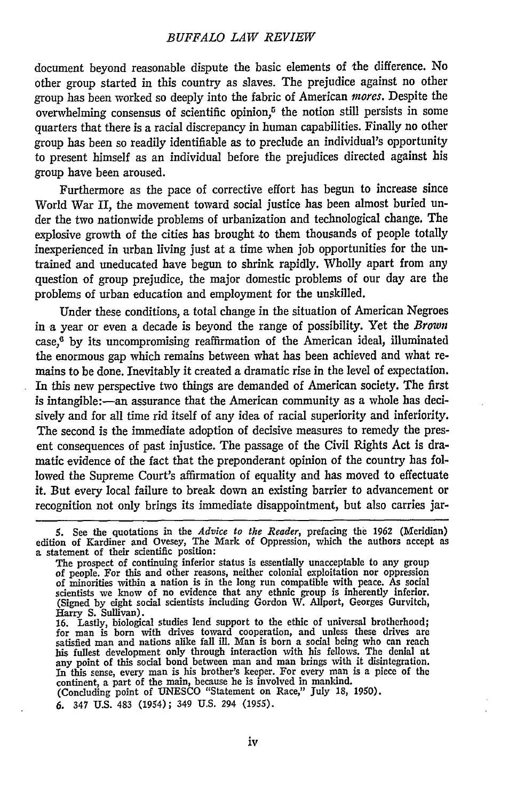### *BUFFALO LAW REVIEW*

document beyond reasonable dispute the basic elements of the difference. No other group started in this country as slaves. The prejudice against no other group has been worked so deeply into the fabric of American *mores.* Despite the overwhelming consensus of scientific opinion, $5$  the notion still persists in some quarters that there is a racial discrepancy in human capabilities. Finally no other group has been so readily identifiable as to preclude an individual's opportunity to present himself as an individual before the prejudices directed against his group have been aroused.

Furthermore as the pace of corrective effort has begun to increase since World War II, the movement toward social justice has been almost buried under the two nationwide problems of urbanization and technological change. The explosive growth of the cities has brought to them thousands of people totally inexperienced in urban living just at a time when **job** opportunities for the untrained and uneducated have begun to shrink rapidly. Wholly apart from any question of group prejudice, the major domestic problems of our day are the problems of urban education and employment for the unskilled.

Under these conditions, a total change in the situation of American Negroes in a year or even a decade is beyond the range of possibility. Yet the *Brown*  $case<sup>6</sup>$  by its uncompromising reaffirmation of the American ideal, illuminated the enormous gap which remains between what has been achieved and what remains to be done. Inevitably it created a dramatic rise in the level of expectation. In this new perspective two things are demanded of American society. The first is intangible:-an assurance that the American community as a whole has decisively and for all time rid itself of any idea of racial superiority and inferiority. The second is the immediate adoption of decisive measures to remedy the present consequences of past injustice. The passage of the Civil Rights Act is dramatic evidence of the fact that the preponderant opinion of the country has followed the Supreme Court's affirmation of equality and has moved to effectuate it. But every local failure to break down an existing barrier to advancement or recognition not only brings its immediate disappointment, but also carries jar-

**6.** 347 **U.S.** 483 (1954); 349 **U.S.** 294 (1955).

**<sup>5.</sup>** See the quotations in the *Advice to the Reader,* prefacing the **1962** (Meridian) edition of Kardiner and Ovesey, The Mark of Oppression, which the authors accept as a statement of their scientific position: a statement of their scientific position:<br>The prospect of continuing inferior status is essentially unacceptable to any group

of people. For this and other reasons, neither colonial exploitation nor oppression of minorities within a nation is in the long run compatible with peace. As social scientists we know of no evidence that any ethnic group is inherently inferior.<br>(Signed by eight social scientists including Gordon W. Allport, Georges Gurvitch, Harry **S.** Sullivan).

**<sup>16.</sup>** Lastly, biological studies lend support to the ethic of universal brotherhood; for man is born with drives toward cooperation, and unless these drives are satisfied man and nations alike fall ill. Man is born a social being who can reachis fullest development only through interaction with his fellows. The denial at any point of this social bond between man and man brings wit In this sense, every man is his brother's keeper. For every man is a piece of the continent, a part of the main, because he is involved in mankind. (Concluding point of **UNESCO** "Statement on Race," July **18, 1950).**